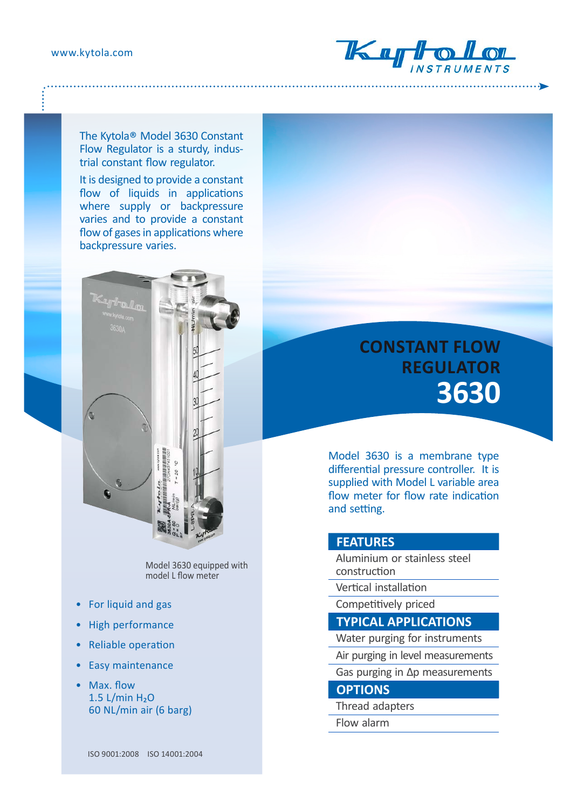www.kytola.com



The Kytola® Model 3630 Constant Flow Regulator is a sturdy, industrial constant flow regulator.

It is designed to provide a constant flow of liquids in applications where supply or backpressure varies and to provide a constant flow of gases in applications where backpressure varies.



Model 3630 equipped with model L flow meter

- For liquid and gas
- High performance
- Reliable operation
- Easy maintenance
- Max. flow  $1.5$  L/min  $H<sub>2</sub>O$ 60 NL/min air (6 barg)

# **CONSTANT FLOW REGULATOR 3630**

Model 3630 is a membrane type differential pressure controller. It is supplied with Model L variable area flow meter for flow rate indication and setting.

### **FEATURES**

- Aluminium or stainless steel construction
- Vertical installation
- Competitively priced
- **TYPICAL APPLICATIONS**
- Water purging for instruments
- Air purging in level measurements
- Gas purging in Δp measurements

## **OPTIONS**

- Thread adapters
- Flow alarm